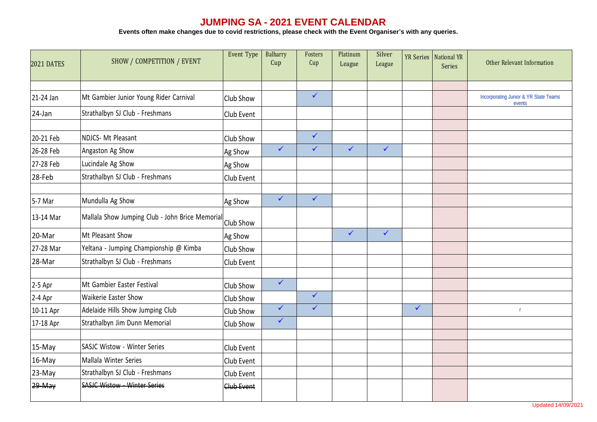## **JUMPING SA - 2021 EVENT CALENDAR**

**Events often make changes due to covid restrictions, please check with the Event Organiser's with any queries.**

| 2021 DATES | SHOW / COMPETITION / EVENT                      | Event Type | Balharry<br>Cup | Fosters<br>Cup | Platinum<br>League | Silver<br>League |              | YR Series   National YR<br>Series | Other Relevant Information            |
|------------|-------------------------------------------------|------------|-----------------|----------------|--------------------|------------------|--------------|-----------------------------------|---------------------------------------|
| 21-24 Jan  | Mt Gambier Junior Young Rider Carnival          | Club Show  |                 | $\checkmark$   |                    |                  |              |                                   | Incorporating Junior & YR State Teams |
| $24$ -Jan  | Strathalbyn SJ Club - Freshmans                 | Club Event |                 |                |                    |                  |              |                                   | events                                |
| 20-21 Feb  | <b>NDJCS- Mt Pleasant</b>                       | Club Show  |                 | $\checkmark$   |                    |                  |              |                                   |                                       |
| 26-28 Feb  | Angaston Ag Show                                | Ag Show    | $\checkmark$    | $\checkmark$   | $\checkmark$       | $\checkmark$     |              |                                   |                                       |
| 27-28 Feb  | Lucindale Ag Show                               | Ag Show    |                 |                |                    |                  |              |                                   |                                       |
| 28-Feb     | Strathalbyn SJ Club - Freshmans                 | Club Event |                 |                |                    |                  |              |                                   |                                       |
| 5-7 Mar    | Mundulla Ag Show                                | Ag Show    | $\checkmark$    | $\checkmark$   |                    |                  |              |                                   |                                       |
| 13-14 Mar  | Mallala Show Jumping Club - John Brice Memorial | Club Show  |                 |                |                    |                  |              |                                   |                                       |
| 20-Mar     | Mt Pleasant Show                                | Ag Show    |                 |                | $\checkmark$       | $\checkmark$     |              |                                   |                                       |
| 27-28 Mar  | Yeltana - Jumping Championship @ Kimba          | Club Show  |                 |                |                    |                  |              |                                   |                                       |
| 28-Mar     | Strathalbyn SJ Club - Freshmans                 | Club Event |                 |                |                    |                  |              |                                   |                                       |
| $2-5$ Apr  | Mt Gambier Easter Festival                      | Club Show  | $\checkmark$    |                |                    |                  |              |                                   |                                       |
| 2-4 Apr    | Waikerie Easter Show                            | Club Show  |                 | $\checkmark$   |                    |                  |              |                                   |                                       |
| 10-11 Apr  | Adelaide Hills Show Jumping Club                | Club Show  | $\checkmark$    | $\checkmark$   |                    |                  | $\checkmark$ |                                   | $\mathbf{r}$                          |
| 17-18 Apr  | Strathalbyn Jim Dunn Memorial                   | Club Show  | $\checkmark$    |                |                    |                  |              |                                   |                                       |
| 15-May     | SASJC Wistow - Winter Series                    | Club Event |                 |                |                    |                  |              |                                   |                                       |
| 16-May     | Mallala Winter Series                           | Club Event |                 |                |                    |                  |              |                                   |                                       |
| 23-May     | Strathalbyn SJ Club - Freshmans                 | Club Event |                 |                |                    |                  |              |                                   |                                       |
| 29 May     | <b>SASJC Wistow - Winter Series</b>             | Club Event |                 |                |                    |                  |              |                                   |                                       |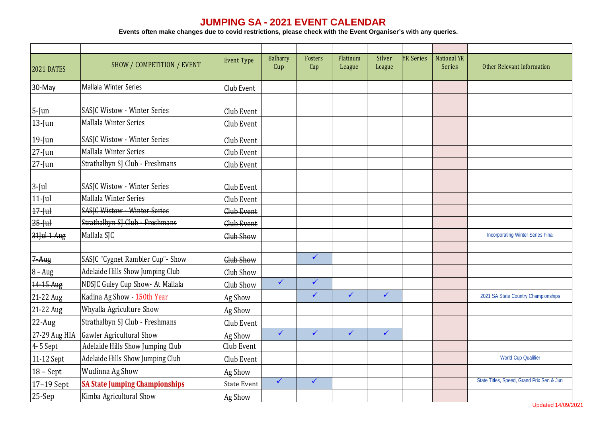## **JUMPING SA - 2021 EVENT CALENDAR**

**Events often make changes due to covid restrictions, please check with the Event Organiser's with any queries.**

| <b>2021 DATES</b> | SHOW / COMPETITION / EVENT            | <b>Event Type</b>  | <b>Balharry</b><br>Cup | Fosters<br>Cup | Platinum<br>League | Silver<br>League | <b>YR Series</b> | <b>National YR</b><br><b>Series</b> | Other Relevant Information                |
|-------------------|---------------------------------------|--------------------|------------------------|----------------|--------------------|------------------|------------------|-------------------------------------|-------------------------------------------|
| 30-May            | Mallala Winter Series                 | Club Event         |                        |                |                    |                  |                  |                                     |                                           |
| $5$ -Jun          | SASJC Wistow - Winter Series          | Club Event         |                        |                |                    |                  |                  |                                     |                                           |
| $13$ -Jun         | Mallala Winter Series                 | Club Event         |                        |                |                    |                  |                  |                                     |                                           |
| $19$ -Jun         | SASJC Wistow - Winter Series          | Club Event         |                        |                |                    |                  |                  |                                     |                                           |
| $27$ -Jun         | Mallala Winter Series                 | Club Event         |                        |                |                    |                  |                  |                                     |                                           |
| $27 - Jun$        | Strathalbyn SJ Club - Freshmans       | Club Event         |                        |                |                    |                  |                  |                                     |                                           |
| $3$ -Jul          | SASJC Wistow - Winter Series          | Club Event         |                        |                |                    |                  |                  |                                     |                                           |
| $11$ -Jul         | Mallala Winter Series                 | Club Event         |                        |                |                    |                  |                  |                                     |                                           |
| $17 - \text{ul$   | <b>SASJC Wistow - Winter Series</b>   | Club Event         |                        |                |                    |                  |                  |                                     |                                           |
| $25 - \text{ul$   | Strathalbyn SJ Club - Freshmans       | Club Event         |                        |                |                    |                  |                  |                                     |                                           |
| $31$ Jul $1$ Aug  | Mallala SJC                           | Club Show          |                        |                |                    |                  |                  |                                     | <b>Incorporating Winter Series Final</b>  |
| $7-Aug$           | SASJC "Cygnet Rambler Cup"- Show      | Club Show          |                        | $\checkmark$   |                    |                  |                  |                                     |                                           |
| $8 - Aug$         | Adelaide Hills Show Jumping Club      | Club Show          |                        |                |                    |                  |                  |                                     |                                           |
| 14-15 Aug         | NDSJC Guley Cup Show- At Mallala      | Club Show          | $\checkmark$           | $\checkmark$   |                    |                  |                  |                                     |                                           |
| 21-22 Aug         | Kadina Ag Show - 150th Year           | Ag Show            |                        | $\checkmark$   | $\checkmark$       | $\checkmark$     |                  |                                     | 2021 SA State Country Championships       |
| 21-22 Aug         | Whyalla Agriculture Show              | Ag Show            |                        |                |                    |                  |                  |                                     |                                           |
| $22$ -Aug         | Strathalbyn SJ Club - Freshmans       | Club Event         |                        |                |                    |                  |                  |                                     |                                           |
| 27-29 Aug HIA     | Gawler Agricultural Show              | Ag Show            | $\checkmark$           | $\checkmark$   | $\checkmark$       | $\checkmark$     |                  |                                     |                                           |
| 4-5 Sept          | Adelaide Hills Show Jumping Club      | Club Event         |                        |                |                    |                  |                  |                                     |                                           |
| 11-12 Sept        | Adelaide Hills Show Jumping Club      | Club Event         |                        |                |                    |                  |                  |                                     | <b>World Cup Qualifier</b>                |
| $18 - Sept$       | Wudinna Ag Show                       | Ag Show            |                        |                |                    |                  |                  |                                     |                                           |
| 17-19 Sept        | <b>SA State Jumping Championships</b> | <b>State Event</b> | $\checkmark$           | $\checkmark$   |                    |                  |                  |                                     | State Titles, Speed, Grand Prix Sen & Jun |
| $25-Sep$          | Kimba Agricultural Show               | Ag Show            |                        |                |                    |                  |                  |                                     |                                           |